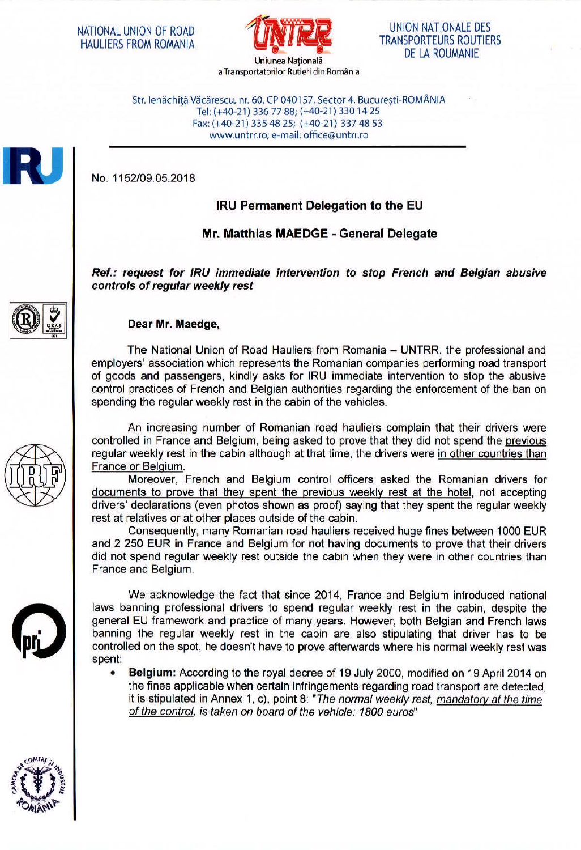

UNION NATIONALE DES TRANSPORTEURS ROUTIERS DE LA ROUMANIE

Str. lenăchită Văcărescu, nr. 60, CP 040157, Sector 4, București-ROMÂNIA Tel: (+40-21) 336 77 88; (+40-21) 3301425 Fax: (+40-21) 335 48 25; (+40-21) 337 48 53 www.untrr.ro; e-mail: office@untrr.ro

No. 1152/09.05.2018

## **IRU Permanent Delegation to the EU**

## **Mr. Matthias MAEDGE** - **General Delegate**

**Ref.: request for /RU immediate intervention to stop French and Belgian abusive controls of regular weekly rest** 



## **Dear Mr. Maedge,**

The National Union of Road Hauliers from Romania - UNTRR, the professional and employers' association which represents the Romanian companies performing road transport of goods and passengers, kindly asks for IRU immediate intervention to stop the abusive control practices of French and Belgian authorities regarding the enforcement of the ban on spending the regular weekly rest in the cabin of the vehicles.

An increasing number of Romanian road hauliers complain that their drivers were controlled in France and Belgium, being asked to prove that they did not spend the previous regular weekly rest in the cabin although at that time, the drivers were in other countries than France or Belgium.

Moreover, French and Belgium control officers asked the Romanian drivers for documents to prove that they spent the previous weekly rest at the hotel, not accepting drivers' declarations (even photos shown as proof) saying that they spent the regular weekly rest at relatives or at other places outside of the cabin.

Consequently, many Romanian road hauliers received huge fines between 1000 EUR and 2 250 EUR in France and Belgium for not having documents to prove that their drivers did not spend regular weekly rest outside the cabin when they were in other countries than France and Belgium.



We acknowledge the fact that since 2014, France and Belgium introduced national laws banning professional drivers to spend regular weekly rest in the cabin, despite the general EU framework and practice of many years. However, both Belgian and French laws banning the regular weekly rest in the cabin are also stipulating that driver has to be controlled on the spot, he doesn't have to prove afterwards where his normal weekly rest was spent:

• **Belgium:** According to the royal decree of 19 July 2000, modified on 19 April 2014 on the fines applicable when certain infringements regarding road transport are detected, it is stipulated in Annex 1, c), point 8: "The normal weekly rest, mandatory at the time of the control, is taken on board of the vehicle: 1800 euros"